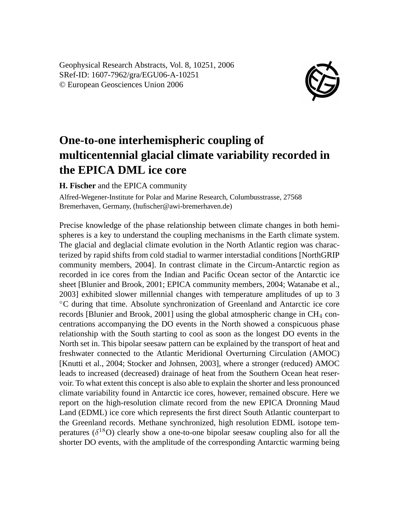Geophysical Research Abstracts, Vol. 8, 10251, 2006 SRef-ID: 1607-7962/gra/EGU06-A-10251 © European Geosciences Union 2006



## **One-to-one interhemispheric coupling of multicentennial glacial climate variability recorded in the EPICA DML ice core**

**H. Fischer** and the EPICA community

Alfred-Wegener-Institute for Polar and Marine Research, Columbusstrasse, 27568 Bremerhaven, Germany, (hufischer@awi-bremerhaven.de)

Precise knowledge of the phase relationship between climate changes in both hemispheres is a key to understand the coupling mechanisms in the Earth climate system. The glacial and deglacial climate evolution in the North Atlantic region was characterized by rapid shifts from cold stadial to warmer interstadial conditions [NorthGRIP community members, 2004]. In contrast climate in the Circum-Antarctic region as recorded in ice cores from the Indian and Pacific Ocean sector of the Antarctic ice sheet [Blunier and Brook, 2001; EPICA community members, 2004; Watanabe et al., 2003] exhibited slower millennial changes with temperature amplitudes of up to 3 ◦C during that time. Absolute synchronization of Greenland and Antarctic ice core records [Blunier and Brook, 2001] using the global atmospheric change in  $CH_4$  concentrations accompanying the DO events in the North showed a conspicuous phase relationship with the South starting to cool as soon as the longest DO events in the North set in. This bipolar seesaw pattern can be explained by the transport of heat and freshwater connected to the Atlantic Meridional Overturning Circulation (AMOC) [Knutti et al., 2004; Stocker and Johnsen, 2003], where a stronger (reduced) AMOC leads to increased (decreased) drainage of heat from the Southern Ocean heat reservoir. To what extent this concept is also able to explain the shorter and less pronounced climate variability found in Antarctic ice cores, however, remained obscure. Here we report on the high-resolution climate record from the new EPICA Dronning Maud Land (EDML) ice core which represents the first direct South Atlantic counterpart to the Greenland records. Methane synchronized, high resolution EDML isotope temperatures  $(\delta^{18}O)$  clearly show a one-to-one bipolar seesaw coupling also for all the shorter DO events, with the amplitude of the corresponding Antarctic warming being